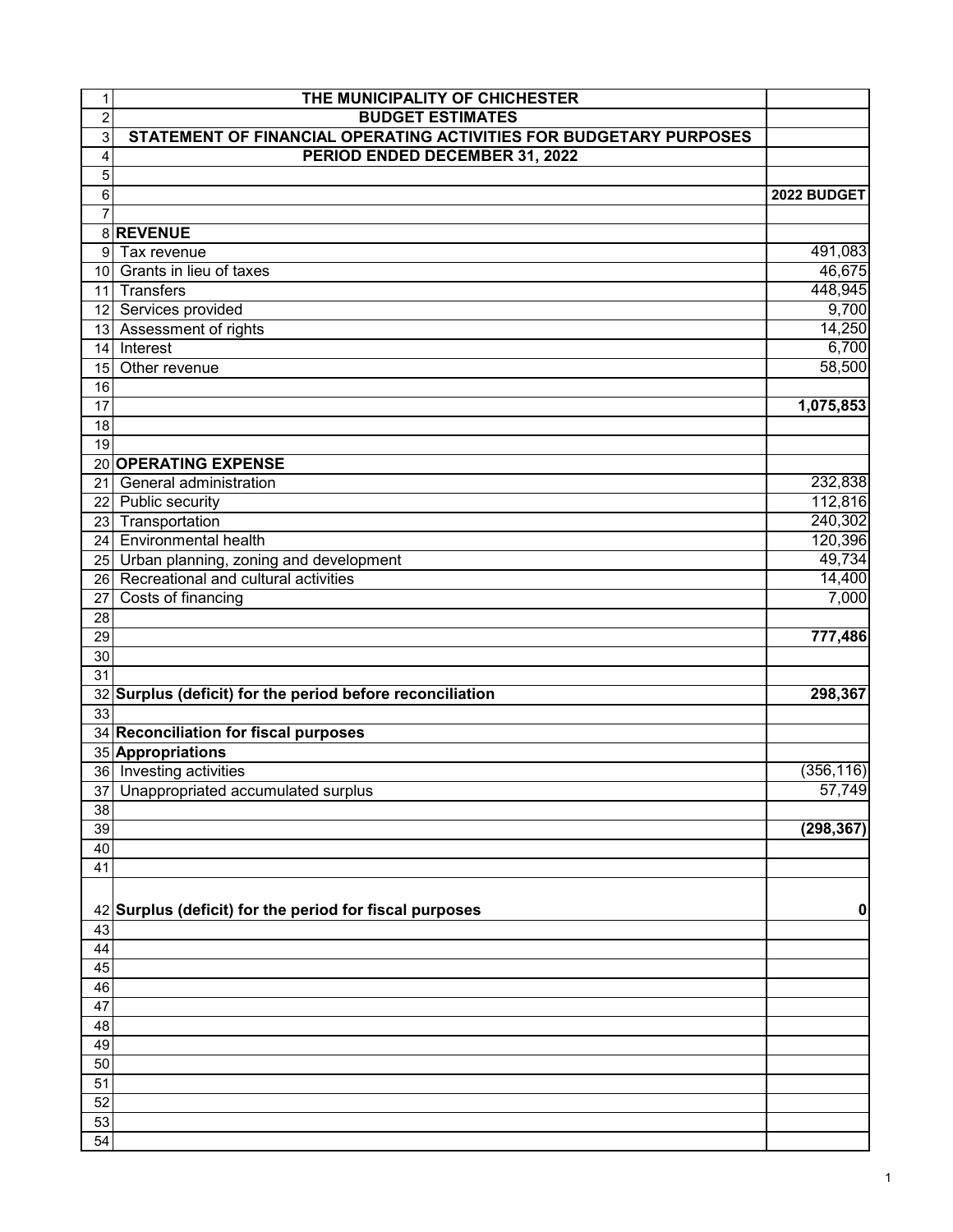| 1              | THE MUNICIPALITY OF CHICHESTER                                     |             |
|----------------|--------------------------------------------------------------------|-------------|
| $\overline{c}$ | <b>BUDGET ESTIMATES</b>                                            |             |
| $\overline{3}$ | STATEMENT OF FINANCIAL OPERATING ACTIVITIES FOR BUDGETARY PURPOSES |             |
| $\overline{4}$ | PERIOD ENDED DECEMBER 31, 2022                                     |             |
| 5              |                                                                    |             |
| 6              |                                                                    | 2022 BUDGET |
| $\overline{7}$ |                                                                    |             |
|                | 8 REVENUE                                                          |             |
| 9 <sup>1</sup> | Tax revenue                                                        | 491,083     |
|                | 10 Grants in lieu of taxes                                         | 46,675      |
|                | 11 Transfers                                                       | 448,945     |
|                | 12 Services provided                                               | 9,700       |
|                | 13 Assessment of rights                                            | 14,250      |
| 14             | Interest                                                           | 6,700       |
| 15             | Other revenue                                                      | 58,500      |
| 16             |                                                                    |             |
| 17             |                                                                    | 1,075,853   |
| 18             |                                                                    |             |
| 19             |                                                                    |             |
|                | 20 OPERATING EXPENSE                                               |             |
|                | 21 General administration                                          | 232,838     |
|                | 22 Public security                                                 | 112,816     |
|                | 23 Transportation                                                  | 240,302     |
|                | 24 Environmental health                                            | 120,396     |
|                | 25 Urban planning, zoning and development                          | 49,734      |
|                | 26 Recreational and cultural activities                            | 14,400      |
| 27             | Costs of financing                                                 | 7,000       |
| 28             |                                                                    |             |
| 29             |                                                                    | 777,486     |
| 30             |                                                                    |             |
| 31             |                                                                    |             |
| 33             | 32 Surplus (deficit) for the period before reconciliation          | 298,367     |
|                | 34 Reconciliation for fiscal purposes                              |             |
|                | 35 Appropriations                                                  |             |
|                | 36 Investing activities                                            | (356, 116)  |
| 37             | Unappropriated accumulated surplus                                 | 57,749      |
| 38             |                                                                    |             |
| 39             |                                                                    | (298, 367)  |
| 40             |                                                                    |             |
| 41             |                                                                    |             |
|                |                                                                    |             |
|                | 42 Surplus (deficit) for the period for fiscal purposes            | 0           |
| 43             |                                                                    |             |
| 44             |                                                                    |             |
| 45             |                                                                    |             |
| 46             |                                                                    |             |
| 47             |                                                                    |             |
| 48             |                                                                    |             |
| 49             |                                                                    |             |
| 50             |                                                                    |             |
| 51             |                                                                    |             |
| 52             |                                                                    |             |
| 53             |                                                                    |             |
| 54             |                                                                    |             |
|                |                                                                    |             |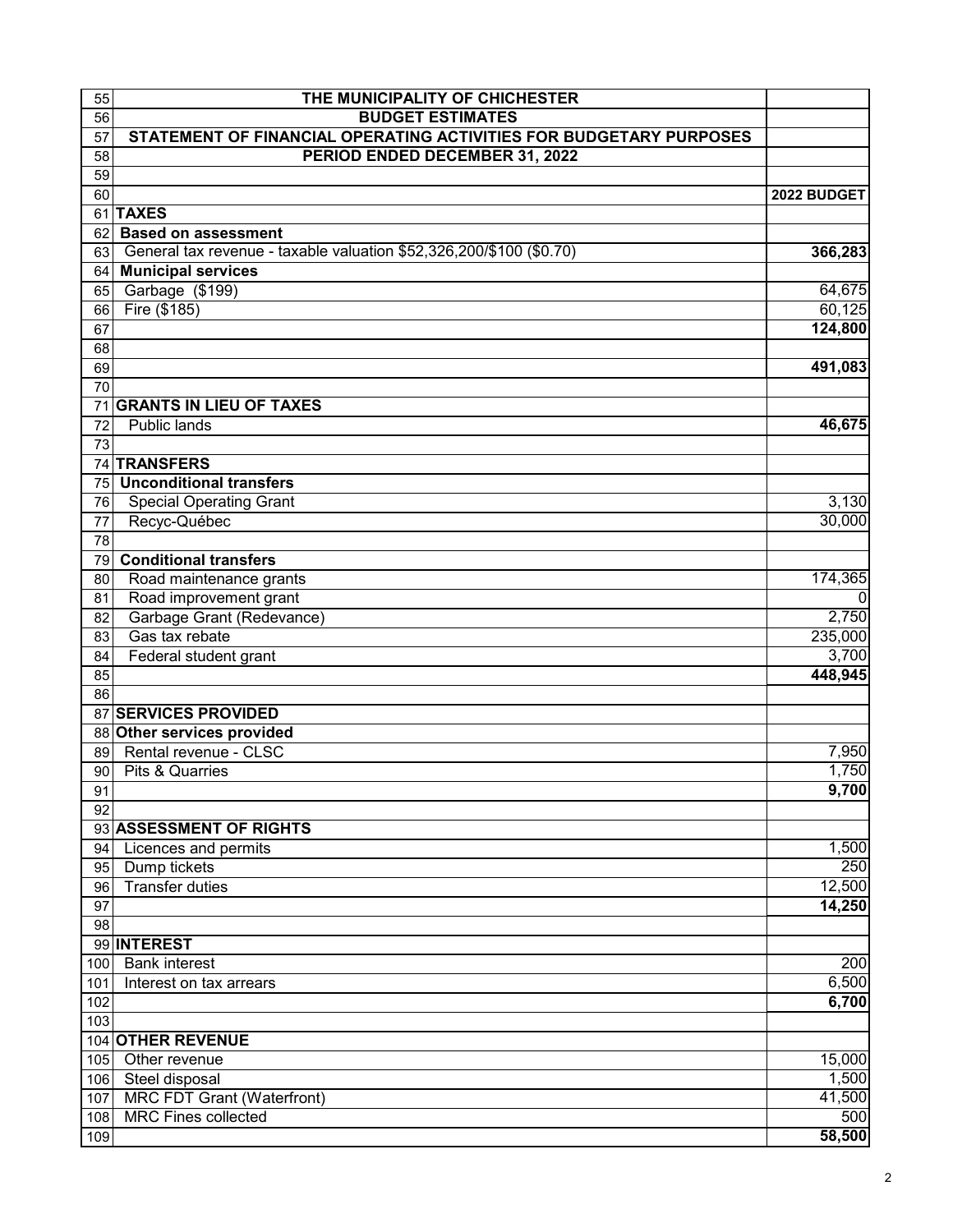| 55       | THE MUNICIPALITY OF CHICHESTER                                      |                  |
|----------|---------------------------------------------------------------------|------------------|
| 56       | <b>BUDGET ESTIMATES</b>                                             |                  |
| 57       | STATEMENT OF FINANCIAL OPERATING ACTIVITIES FOR BUDGETARY PURPOSES  |                  |
| 58       | PERIOD ENDED DECEMBER 31, 2022                                      |                  |
| 59       |                                                                     |                  |
| 60       |                                                                     | 2022 BUDGET      |
|          | 61 TAXES                                                            |                  |
| 62       | <b>Based on assessment</b>                                          |                  |
| 63       | General tax revenue - taxable valuation \$52,326,200/\$100 (\$0.70) | 366,283          |
| 64       | <b>Municipal services</b>                                           | 64,675           |
| 65<br>66 | Garbage (\$199)<br>Fire (\$185)                                     | 60,125           |
| 67       |                                                                     | 124,800          |
| 68       |                                                                     |                  |
| 69       |                                                                     | 491,083          |
| 70       |                                                                     |                  |
| 71       | <b>GRANTS IN LIEU OF TAXES</b>                                      |                  |
| 72       | Public lands                                                        | 46,675           |
| 73       |                                                                     |                  |
|          | 74 TRANSFERS                                                        |                  |
| 75       | <b>Unconditional transfers</b>                                      |                  |
| 76       | <b>Special Operating Grant</b>                                      | 3,130            |
| 77       | Recyc-Québec                                                        | 30,000           |
| 78       |                                                                     |                  |
| 79       | <b>Conditional transfers</b>                                        |                  |
| 80       | Road maintenance grants                                             | 174,365          |
| 81       | Road improvement grant                                              | $\mathbf{0}$     |
| 82       | Garbage Grant (Redevance)                                           | 2,750            |
| 83       | Gas tax rebate                                                      | 235,000          |
| 84       | Federal student grant                                               | 3,700            |
| 85       |                                                                     | 448,945          |
| 86       |                                                                     |                  |
|          | 87 SERVICES PROVIDED                                                |                  |
|          | 88 Other services provided                                          |                  |
| 89       | Rental revenue - CLSC                                               | 7,950            |
| 90       | Pits & Quarries                                                     | 1,750            |
| 91       |                                                                     | 9,700            |
| 92       | 93 ASSESSMENT OF RIGHTS                                             |                  |
|          | Licences and permits                                                | 1,500            |
| 94<br>95 | Dump tickets                                                        | 250              |
| 96       | <b>Transfer duties</b>                                              | 12,500           |
| 97       |                                                                     | 14,250           |
| 98       |                                                                     |                  |
|          | 99 INTEREST                                                         |                  |
| 100      | <b>Bank interest</b>                                                | $\overline{200}$ |
| 101      | Interest on tax arrears                                             | 6,500            |
| 102      |                                                                     | 6,700            |
| 103      |                                                                     |                  |
|          | 104 OTHER REVENUE                                                   |                  |
| 105      | Other revenue                                                       | 15,000           |
| 106      | Steel disposal                                                      | 1,500            |
| 107      | <b>MRC FDT Grant (Waterfront)</b>                                   | 41,500           |
| 108      | <b>MRC Fines collected</b>                                          | 500              |
| 109      |                                                                     | 58,500           |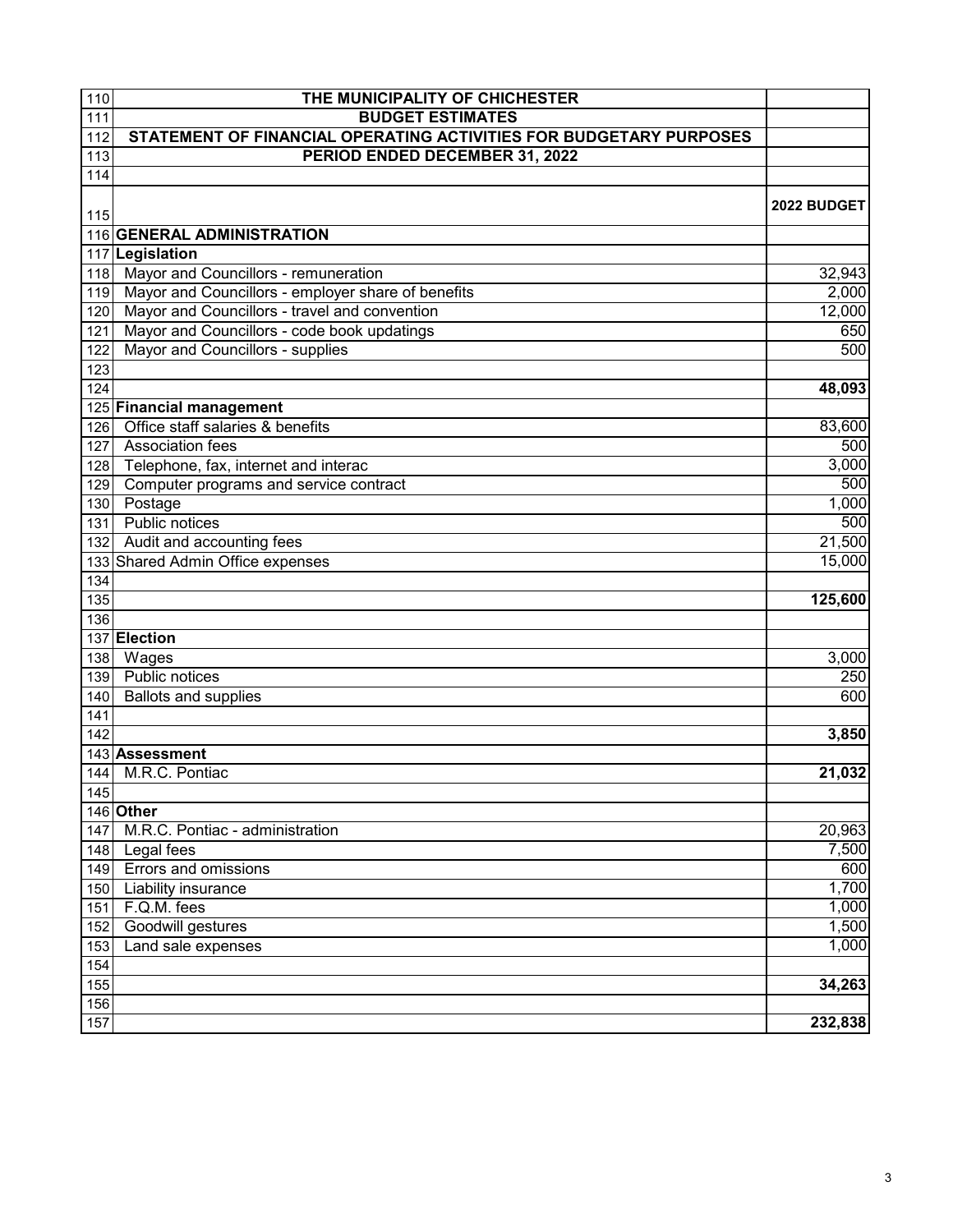| 111<br><b>BUDGET ESTIMATES</b><br>STATEMENT OF FINANCIAL OPERATING ACTIVITIES FOR BUDGETARY PURPOSES<br>112<br>113<br>PERIOD ENDED DECEMBER 31, 2022<br>114<br>2022 BUDGET<br>115<br>116 GENERAL ADMINISTRATION<br>117 Legislation<br>118<br>Mayor and Councillors - remuneration<br>Mayor and Councillors - employer share of benefits<br>119<br>Mayor and Councillors - travel and convention<br>120<br>Mayor and Councillors - code book updatings<br>121<br>Mayor and Councillors - supplies<br>122<br>123<br>124<br>48,093<br>125 Financial management<br>Office staff salaries & benefits<br>126<br><b>Association fees</b><br>127<br>Telephone, fax, internet and interac<br>3,000<br>128<br>Computer programs and service contract<br>129<br>Postage<br>130<br>Public notices<br>131<br>Audit and accounting fees<br>132<br>133 Shared Admin Office expenses<br>15,000<br>134<br>135<br>125,600<br>136<br>137 Election<br>Wages<br>138<br>3,000<br>Public notices<br>139<br><b>Ballots and supplies</b><br>140<br>141<br>142<br>143 Assessment<br>144<br>M.R.C. Pontiac<br>145<br>146 Other<br>M.R.C. Pontiac - administration<br>147<br>Legal fees<br>148<br>Errors and omissions<br>149<br>Liability insurance<br>150<br>F.Q.M. fees<br>151<br>Goodwill gestures<br>152<br>Land sale expenses<br>153 | 110 | THE MUNICIPALITY OF CHICHESTER |         |
|----------------------------------------------------------------------------------------------------------------------------------------------------------------------------------------------------------------------------------------------------------------------------------------------------------------------------------------------------------------------------------------------------------------------------------------------------------------------------------------------------------------------------------------------------------------------------------------------------------------------------------------------------------------------------------------------------------------------------------------------------------------------------------------------------------------------------------------------------------------------------------------------------------------------------------------------------------------------------------------------------------------------------------------------------------------------------------------------------------------------------------------------------------------------------------------------------------------------------------------------------------------------------------------------------------------|-----|--------------------------------|---------|
|                                                                                                                                                                                                                                                                                                                                                                                                                                                                                                                                                                                                                                                                                                                                                                                                                                                                                                                                                                                                                                                                                                                                                                                                                                                                                                                |     |                                |         |
|                                                                                                                                                                                                                                                                                                                                                                                                                                                                                                                                                                                                                                                                                                                                                                                                                                                                                                                                                                                                                                                                                                                                                                                                                                                                                                                |     |                                |         |
|                                                                                                                                                                                                                                                                                                                                                                                                                                                                                                                                                                                                                                                                                                                                                                                                                                                                                                                                                                                                                                                                                                                                                                                                                                                                                                                |     |                                |         |
|                                                                                                                                                                                                                                                                                                                                                                                                                                                                                                                                                                                                                                                                                                                                                                                                                                                                                                                                                                                                                                                                                                                                                                                                                                                                                                                |     |                                |         |
|                                                                                                                                                                                                                                                                                                                                                                                                                                                                                                                                                                                                                                                                                                                                                                                                                                                                                                                                                                                                                                                                                                                                                                                                                                                                                                                |     |                                |         |
|                                                                                                                                                                                                                                                                                                                                                                                                                                                                                                                                                                                                                                                                                                                                                                                                                                                                                                                                                                                                                                                                                                                                                                                                                                                                                                                |     |                                |         |
|                                                                                                                                                                                                                                                                                                                                                                                                                                                                                                                                                                                                                                                                                                                                                                                                                                                                                                                                                                                                                                                                                                                                                                                                                                                                                                                |     |                                |         |
|                                                                                                                                                                                                                                                                                                                                                                                                                                                                                                                                                                                                                                                                                                                                                                                                                                                                                                                                                                                                                                                                                                                                                                                                                                                                                                                |     |                                |         |
|                                                                                                                                                                                                                                                                                                                                                                                                                                                                                                                                                                                                                                                                                                                                                                                                                                                                                                                                                                                                                                                                                                                                                                                                                                                                                                                |     |                                | 32,943  |
|                                                                                                                                                                                                                                                                                                                                                                                                                                                                                                                                                                                                                                                                                                                                                                                                                                                                                                                                                                                                                                                                                                                                                                                                                                                                                                                |     |                                | 2,000   |
|                                                                                                                                                                                                                                                                                                                                                                                                                                                                                                                                                                                                                                                                                                                                                                                                                                                                                                                                                                                                                                                                                                                                                                                                                                                                                                                |     |                                | 12,000  |
|                                                                                                                                                                                                                                                                                                                                                                                                                                                                                                                                                                                                                                                                                                                                                                                                                                                                                                                                                                                                                                                                                                                                                                                                                                                                                                                |     |                                | 650     |
|                                                                                                                                                                                                                                                                                                                                                                                                                                                                                                                                                                                                                                                                                                                                                                                                                                                                                                                                                                                                                                                                                                                                                                                                                                                                                                                |     |                                | 500     |
|                                                                                                                                                                                                                                                                                                                                                                                                                                                                                                                                                                                                                                                                                                                                                                                                                                                                                                                                                                                                                                                                                                                                                                                                                                                                                                                |     |                                |         |
|                                                                                                                                                                                                                                                                                                                                                                                                                                                                                                                                                                                                                                                                                                                                                                                                                                                                                                                                                                                                                                                                                                                                                                                                                                                                                                                |     |                                |         |
|                                                                                                                                                                                                                                                                                                                                                                                                                                                                                                                                                                                                                                                                                                                                                                                                                                                                                                                                                                                                                                                                                                                                                                                                                                                                                                                |     |                                |         |
|                                                                                                                                                                                                                                                                                                                                                                                                                                                                                                                                                                                                                                                                                                                                                                                                                                                                                                                                                                                                                                                                                                                                                                                                                                                                                                                |     |                                | 83,600  |
|                                                                                                                                                                                                                                                                                                                                                                                                                                                                                                                                                                                                                                                                                                                                                                                                                                                                                                                                                                                                                                                                                                                                                                                                                                                                                                                |     |                                | 500     |
|                                                                                                                                                                                                                                                                                                                                                                                                                                                                                                                                                                                                                                                                                                                                                                                                                                                                                                                                                                                                                                                                                                                                                                                                                                                                                                                |     |                                |         |
|                                                                                                                                                                                                                                                                                                                                                                                                                                                                                                                                                                                                                                                                                                                                                                                                                                                                                                                                                                                                                                                                                                                                                                                                                                                                                                                |     |                                | 500     |
|                                                                                                                                                                                                                                                                                                                                                                                                                                                                                                                                                                                                                                                                                                                                                                                                                                                                                                                                                                                                                                                                                                                                                                                                                                                                                                                |     |                                | 1,000   |
|                                                                                                                                                                                                                                                                                                                                                                                                                                                                                                                                                                                                                                                                                                                                                                                                                                                                                                                                                                                                                                                                                                                                                                                                                                                                                                                |     |                                | 500     |
|                                                                                                                                                                                                                                                                                                                                                                                                                                                                                                                                                                                                                                                                                                                                                                                                                                                                                                                                                                                                                                                                                                                                                                                                                                                                                                                |     |                                | 21,500  |
|                                                                                                                                                                                                                                                                                                                                                                                                                                                                                                                                                                                                                                                                                                                                                                                                                                                                                                                                                                                                                                                                                                                                                                                                                                                                                                                |     |                                |         |
|                                                                                                                                                                                                                                                                                                                                                                                                                                                                                                                                                                                                                                                                                                                                                                                                                                                                                                                                                                                                                                                                                                                                                                                                                                                                                                                |     |                                |         |
|                                                                                                                                                                                                                                                                                                                                                                                                                                                                                                                                                                                                                                                                                                                                                                                                                                                                                                                                                                                                                                                                                                                                                                                                                                                                                                                |     |                                |         |
|                                                                                                                                                                                                                                                                                                                                                                                                                                                                                                                                                                                                                                                                                                                                                                                                                                                                                                                                                                                                                                                                                                                                                                                                                                                                                                                |     |                                |         |
|                                                                                                                                                                                                                                                                                                                                                                                                                                                                                                                                                                                                                                                                                                                                                                                                                                                                                                                                                                                                                                                                                                                                                                                                                                                                                                                |     |                                |         |
|                                                                                                                                                                                                                                                                                                                                                                                                                                                                                                                                                                                                                                                                                                                                                                                                                                                                                                                                                                                                                                                                                                                                                                                                                                                                                                                |     |                                |         |
|                                                                                                                                                                                                                                                                                                                                                                                                                                                                                                                                                                                                                                                                                                                                                                                                                                                                                                                                                                                                                                                                                                                                                                                                                                                                                                                |     |                                | 250     |
|                                                                                                                                                                                                                                                                                                                                                                                                                                                                                                                                                                                                                                                                                                                                                                                                                                                                                                                                                                                                                                                                                                                                                                                                                                                                                                                |     |                                | 600     |
|                                                                                                                                                                                                                                                                                                                                                                                                                                                                                                                                                                                                                                                                                                                                                                                                                                                                                                                                                                                                                                                                                                                                                                                                                                                                                                                |     |                                |         |
|                                                                                                                                                                                                                                                                                                                                                                                                                                                                                                                                                                                                                                                                                                                                                                                                                                                                                                                                                                                                                                                                                                                                                                                                                                                                                                                |     |                                | 3,850   |
|                                                                                                                                                                                                                                                                                                                                                                                                                                                                                                                                                                                                                                                                                                                                                                                                                                                                                                                                                                                                                                                                                                                                                                                                                                                                                                                |     |                                |         |
|                                                                                                                                                                                                                                                                                                                                                                                                                                                                                                                                                                                                                                                                                                                                                                                                                                                                                                                                                                                                                                                                                                                                                                                                                                                                                                                |     |                                | 21,032  |
|                                                                                                                                                                                                                                                                                                                                                                                                                                                                                                                                                                                                                                                                                                                                                                                                                                                                                                                                                                                                                                                                                                                                                                                                                                                                                                                |     |                                |         |
|                                                                                                                                                                                                                                                                                                                                                                                                                                                                                                                                                                                                                                                                                                                                                                                                                                                                                                                                                                                                                                                                                                                                                                                                                                                                                                                |     |                                |         |
|                                                                                                                                                                                                                                                                                                                                                                                                                                                                                                                                                                                                                                                                                                                                                                                                                                                                                                                                                                                                                                                                                                                                                                                                                                                                                                                |     |                                | 20,963  |
|                                                                                                                                                                                                                                                                                                                                                                                                                                                                                                                                                                                                                                                                                                                                                                                                                                                                                                                                                                                                                                                                                                                                                                                                                                                                                                                |     |                                | 7,500   |
|                                                                                                                                                                                                                                                                                                                                                                                                                                                                                                                                                                                                                                                                                                                                                                                                                                                                                                                                                                                                                                                                                                                                                                                                                                                                                                                |     |                                | 600     |
|                                                                                                                                                                                                                                                                                                                                                                                                                                                                                                                                                                                                                                                                                                                                                                                                                                                                                                                                                                                                                                                                                                                                                                                                                                                                                                                |     |                                | 1,700   |
|                                                                                                                                                                                                                                                                                                                                                                                                                                                                                                                                                                                                                                                                                                                                                                                                                                                                                                                                                                                                                                                                                                                                                                                                                                                                                                                |     |                                | 1,000   |
|                                                                                                                                                                                                                                                                                                                                                                                                                                                                                                                                                                                                                                                                                                                                                                                                                                                                                                                                                                                                                                                                                                                                                                                                                                                                                                                |     |                                | 1,500   |
|                                                                                                                                                                                                                                                                                                                                                                                                                                                                                                                                                                                                                                                                                                                                                                                                                                                                                                                                                                                                                                                                                                                                                                                                                                                                                                                |     |                                | 1,000   |
|                                                                                                                                                                                                                                                                                                                                                                                                                                                                                                                                                                                                                                                                                                                                                                                                                                                                                                                                                                                                                                                                                                                                                                                                                                                                                                                | 154 |                                |         |
| 155                                                                                                                                                                                                                                                                                                                                                                                                                                                                                                                                                                                                                                                                                                                                                                                                                                                                                                                                                                                                                                                                                                                                                                                                                                                                                                            |     |                                | 34,263  |
| 156                                                                                                                                                                                                                                                                                                                                                                                                                                                                                                                                                                                                                                                                                                                                                                                                                                                                                                                                                                                                                                                                                                                                                                                                                                                                                                            |     |                                |         |
| 157                                                                                                                                                                                                                                                                                                                                                                                                                                                                                                                                                                                                                                                                                                                                                                                                                                                                                                                                                                                                                                                                                                                                                                                                                                                                                                            |     |                                | 232,838 |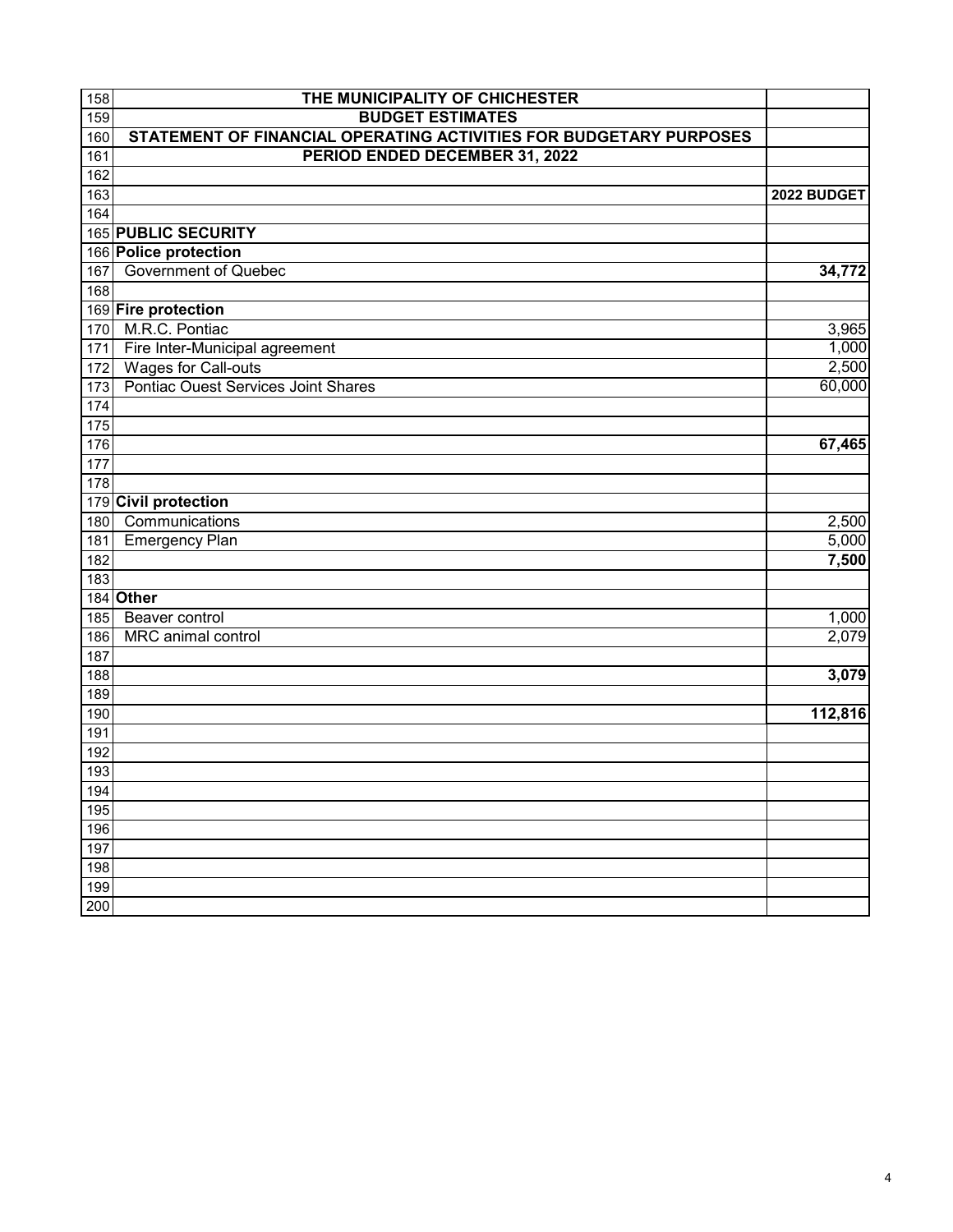| 159<br><b>BUDGET ESTIMATES</b><br>STATEMENT OF FINANCIAL OPERATING ACTIVITIES FOR BUDGETARY PURPOSES<br>160<br>PERIOD ENDED DECEMBER 31, 2022<br>161<br>162<br>163<br>2022 BUDGET<br>164<br>165 PUBLIC SECURITY<br>166 Police protection<br><b>Government of Quebec</b><br>34,772<br>167<br>$16\overline{8}$<br>169 Fire protection<br>M.R.C. Pontiac<br>3,965<br>170<br>Fire Inter-Municipal agreement<br>171<br><b>Wages for Call-outs</b><br>172<br>Pontiac Ouest Services Joint Shares<br>173<br>174<br>175<br>176<br>67,465<br>177<br>178<br>179 Civil protection<br>Communications<br>180<br><b>Emergency Plan</b><br>181<br>7,500<br>182<br>183<br>184 Other<br>Beaver control<br>185<br>MRC animal control<br>2,079<br>186<br>187<br>188<br>3,079<br>189 | 158 | THE MUNICIPALITY OF CHICHESTER |  |
|------------------------------------------------------------------------------------------------------------------------------------------------------------------------------------------------------------------------------------------------------------------------------------------------------------------------------------------------------------------------------------------------------------------------------------------------------------------------------------------------------------------------------------------------------------------------------------------------------------------------------------------------------------------------------------------------------------------------------------------------------------------|-----|--------------------------------|--|
| 1,000<br>2,500<br>60,000<br>$\overline{2,}500$<br>5,000<br>1,000                                                                                                                                                                                                                                                                                                                                                                                                                                                                                                                                                                                                                                                                                                 |     |                                |  |
|                                                                                                                                                                                                                                                                                                                                                                                                                                                                                                                                                                                                                                                                                                                                                                  |     |                                |  |
|                                                                                                                                                                                                                                                                                                                                                                                                                                                                                                                                                                                                                                                                                                                                                                  |     |                                |  |
|                                                                                                                                                                                                                                                                                                                                                                                                                                                                                                                                                                                                                                                                                                                                                                  |     |                                |  |
|                                                                                                                                                                                                                                                                                                                                                                                                                                                                                                                                                                                                                                                                                                                                                                  |     |                                |  |
|                                                                                                                                                                                                                                                                                                                                                                                                                                                                                                                                                                                                                                                                                                                                                                  |     |                                |  |
|                                                                                                                                                                                                                                                                                                                                                                                                                                                                                                                                                                                                                                                                                                                                                                  |     |                                |  |
|                                                                                                                                                                                                                                                                                                                                                                                                                                                                                                                                                                                                                                                                                                                                                                  |     |                                |  |
|                                                                                                                                                                                                                                                                                                                                                                                                                                                                                                                                                                                                                                                                                                                                                                  |     |                                |  |
|                                                                                                                                                                                                                                                                                                                                                                                                                                                                                                                                                                                                                                                                                                                                                                  |     |                                |  |
|                                                                                                                                                                                                                                                                                                                                                                                                                                                                                                                                                                                                                                                                                                                                                                  |     |                                |  |
|                                                                                                                                                                                                                                                                                                                                                                                                                                                                                                                                                                                                                                                                                                                                                                  |     |                                |  |
|                                                                                                                                                                                                                                                                                                                                                                                                                                                                                                                                                                                                                                                                                                                                                                  |     |                                |  |
|                                                                                                                                                                                                                                                                                                                                                                                                                                                                                                                                                                                                                                                                                                                                                                  |     |                                |  |
|                                                                                                                                                                                                                                                                                                                                                                                                                                                                                                                                                                                                                                                                                                                                                                  |     |                                |  |
|                                                                                                                                                                                                                                                                                                                                                                                                                                                                                                                                                                                                                                                                                                                                                                  |     |                                |  |
|                                                                                                                                                                                                                                                                                                                                                                                                                                                                                                                                                                                                                                                                                                                                                                  |     |                                |  |
|                                                                                                                                                                                                                                                                                                                                                                                                                                                                                                                                                                                                                                                                                                                                                                  |     |                                |  |
|                                                                                                                                                                                                                                                                                                                                                                                                                                                                                                                                                                                                                                                                                                                                                                  |     |                                |  |
|                                                                                                                                                                                                                                                                                                                                                                                                                                                                                                                                                                                                                                                                                                                                                                  |     |                                |  |
|                                                                                                                                                                                                                                                                                                                                                                                                                                                                                                                                                                                                                                                                                                                                                                  |     |                                |  |
|                                                                                                                                                                                                                                                                                                                                                                                                                                                                                                                                                                                                                                                                                                                                                                  |     |                                |  |
|                                                                                                                                                                                                                                                                                                                                                                                                                                                                                                                                                                                                                                                                                                                                                                  |     |                                |  |
|                                                                                                                                                                                                                                                                                                                                                                                                                                                                                                                                                                                                                                                                                                                                                                  |     |                                |  |
|                                                                                                                                                                                                                                                                                                                                                                                                                                                                                                                                                                                                                                                                                                                                                                  |     |                                |  |
|                                                                                                                                                                                                                                                                                                                                                                                                                                                                                                                                                                                                                                                                                                                                                                  |     |                                |  |
|                                                                                                                                                                                                                                                                                                                                                                                                                                                                                                                                                                                                                                                                                                                                                                  |     |                                |  |
|                                                                                                                                                                                                                                                                                                                                                                                                                                                                                                                                                                                                                                                                                                                                                                  |     |                                |  |
|                                                                                                                                                                                                                                                                                                                                                                                                                                                                                                                                                                                                                                                                                                                                                                  |     |                                |  |
|                                                                                                                                                                                                                                                                                                                                                                                                                                                                                                                                                                                                                                                                                                                                                                  |     |                                |  |
|                                                                                                                                                                                                                                                                                                                                                                                                                                                                                                                                                                                                                                                                                                                                                                  |     |                                |  |
| 190<br>112,816<br>191                                                                                                                                                                                                                                                                                                                                                                                                                                                                                                                                                                                                                                                                                                                                            |     |                                |  |
| 192                                                                                                                                                                                                                                                                                                                                                                                                                                                                                                                                                                                                                                                                                                                                                              |     |                                |  |
| 193                                                                                                                                                                                                                                                                                                                                                                                                                                                                                                                                                                                                                                                                                                                                                              |     |                                |  |
|                                                                                                                                                                                                                                                                                                                                                                                                                                                                                                                                                                                                                                                                                                                                                                  |     |                                |  |
| 194<br>195                                                                                                                                                                                                                                                                                                                                                                                                                                                                                                                                                                                                                                                                                                                                                       |     |                                |  |
| 196                                                                                                                                                                                                                                                                                                                                                                                                                                                                                                                                                                                                                                                                                                                                                              |     |                                |  |
| 197                                                                                                                                                                                                                                                                                                                                                                                                                                                                                                                                                                                                                                                                                                                                                              |     |                                |  |
| 198                                                                                                                                                                                                                                                                                                                                                                                                                                                                                                                                                                                                                                                                                                                                                              |     |                                |  |
| 199                                                                                                                                                                                                                                                                                                                                                                                                                                                                                                                                                                                                                                                                                                                                                              |     |                                |  |
| 200                                                                                                                                                                                                                                                                                                                                                                                                                                                                                                                                                                                                                                                                                                                                                              |     |                                |  |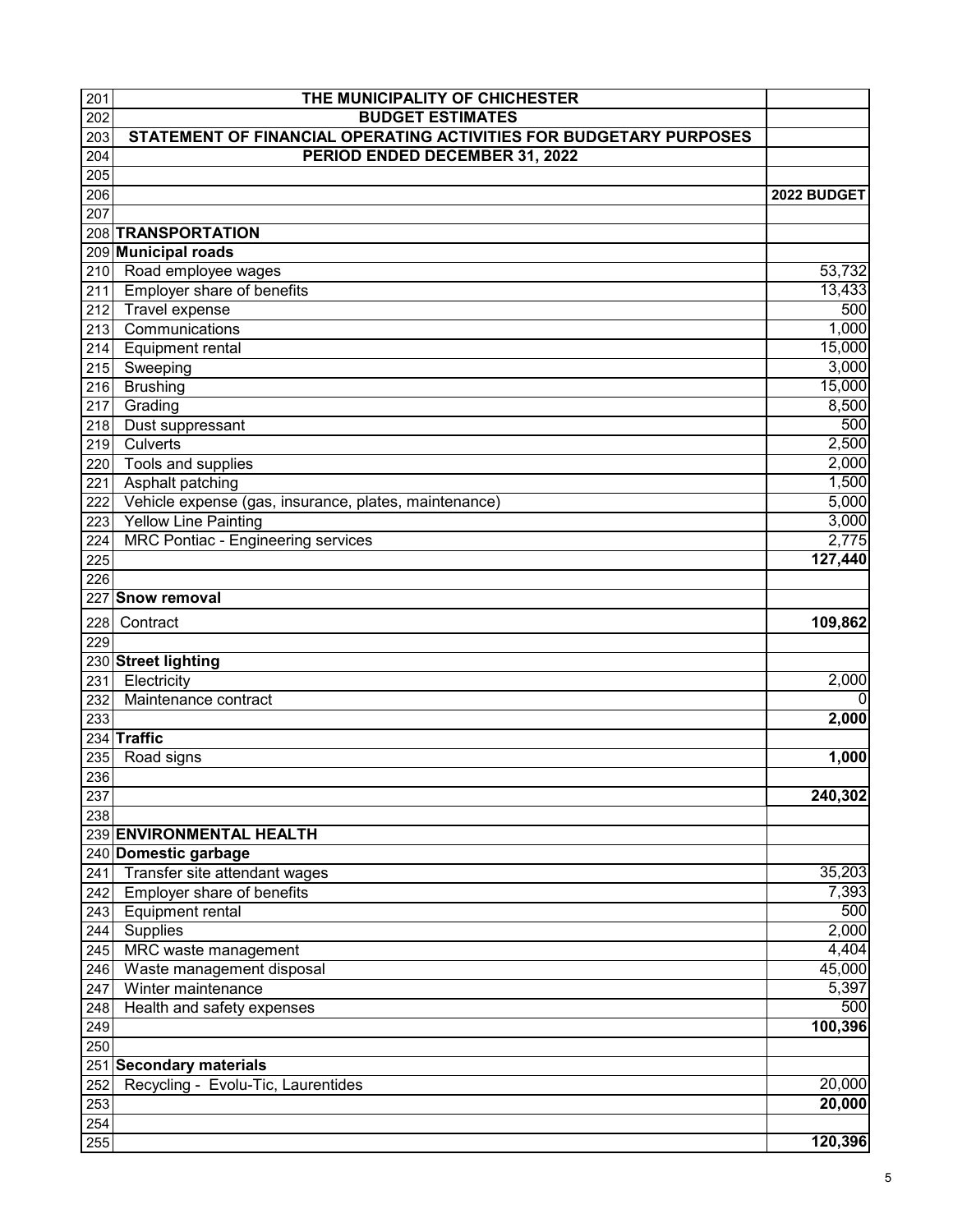| 201 | THE MUNICIPALITY OF CHICHESTER                                     |             |
|-----|--------------------------------------------------------------------|-------------|
| 202 | <b>BUDGET ESTIMATES</b>                                            |             |
| 203 | STATEMENT OF FINANCIAL OPERATING ACTIVITIES FOR BUDGETARY PURPOSES |             |
| 204 | PERIOD ENDED DECEMBER 31, 2022                                     |             |
| 205 |                                                                    |             |
| 206 |                                                                    | 2022 BUDGET |
| 207 |                                                                    |             |
|     | 208 TRANSPORTATION                                                 |             |
|     | 209 Municipal roads                                                |             |
| 210 | Road employee wages                                                | 53,732      |
| 211 | Employer share of benefits                                         | 13,433      |
| 212 | <b>Travel expense</b>                                              | 500         |
| 213 | Communications                                                     | 1,000       |
| 214 | <b>Equipment rental</b>                                            | 15,000      |
| 215 | Sweeping                                                           | 3,000       |
| 216 | <b>Brushing</b>                                                    | 15,000      |
| 217 | Grading                                                            | 8,500       |
| 218 | Dust suppressant                                                   | 500         |
| 219 | Culverts                                                           | 2,500       |
| 220 | Tools and supplies                                                 | 2,000       |
| 221 | Asphalt patching                                                   | 1,500       |
| 222 | Vehicle expense (gas, insurance, plates, maintenance)              | 5,000       |
| 223 | <b>Yellow Line Painting</b>                                        | 3,000       |
| 224 | <b>MRC Pontiac - Engineering services</b>                          | 2,775       |
| 225 |                                                                    | 127,440     |
| 226 |                                                                    |             |
|     | 227 Snow removal                                                   |             |
| 228 | Contract                                                           | 109,862     |
| 229 |                                                                    |             |
|     | 230 Street lighting                                                |             |
| 231 | Electricity                                                        | 2,000       |
| 232 | Maintenance contract                                               | 0           |
| 233 |                                                                    | 2,000       |
|     | 234 Traffic                                                        |             |
| 235 | Road signs                                                         | 1,000       |
| 236 |                                                                    |             |
| 237 |                                                                    | 240,302     |
| 238 |                                                                    |             |
|     | 239 ENVIRONMENTAL HEALTH                                           |             |
|     | 240 Domestic garbage                                               |             |
| 241 | Transfer site attendant wages                                      | 35,203      |
| 242 | Employer share of benefits                                         | 7,393       |
| 243 | <b>Equipment rental</b>                                            | 500         |
| 244 | Supplies                                                           | 2,000       |
| 245 | MRC waste management                                               | 4,404       |
| 246 | Waste management disposal                                          | 45,000      |
| 247 | Winter maintenance                                                 | 5,397       |
| 248 | Health and safety expenses                                         | 500         |
| 249 |                                                                    | 100,396     |
| 250 |                                                                    |             |
|     | 251 Secondary materials                                            |             |
| 252 | Recycling - Evolu-Tic, Laurentides                                 | 20,000      |
| 253 |                                                                    | 20,000      |
| 254 |                                                                    |             |
| 255 |                                                                    | 120,396     |
|     |                                                                    |             |